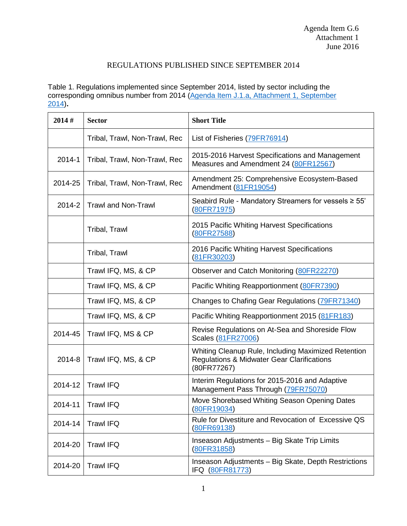## REGULATIONS PUBLISHED SINCE SEPTEMBER 2014

Table 1. Regulations implemented since September 2014, listed by sector including the corresponding omnibus number from 2014 (Agenda Item J.1.a, Attachment 1, September [2014\)](http://www.pcouncil.org/wp-content/uploads/J1a_Att1_TheList_SEPT2014BB.pdf)**.** 

| 2014#   | <b>Sector</b>                 | <b>Short Title</b>                                                                                               |
|---------|-------------------------------|------------------------------------------------------------------------------------------------------------------|
|         | Tribal, Trawl, Non-Trawl, Rec | List of Fisheries (79FR76914)                                                                                    |
| 2014-1  | Tribal, Trawl, Non-Trawl, Rec | 2015-2016 Harvest Specifications and Management<br>Measures and Amendment 24 (80FR12567)                         |
| 2014-25 | Tribal, Trawl, Non-Trawl, Rec | Amendment 25: Comprehensive Ecosystem-Based<br>Amendment (81FR19054)                                             |
| 2014-2  | <b>Trawl and Non-Trawl</b>    | Seabird Rule - Mandatory Streamers for vessels ≥ 55'<br>(80FR71975)                                              |
|         | Tribal, Trawl                 | 2015 Pacific Whiting Harvest Specifications<br>(80FR27588)                                                       |
|         | Tribal, Trawl                 | 2016 Pacific Whiting Harvest Specifications<br>(81FR30203)                                                       |
|         | Trawl IFQ, MS, & CP           | Observer and Catch Monitoring (80FR22270)                                                                        |
|         | Trawl IFQ, MS, & CP           | Pacific Whiting Reapportionment (80FR7390)                                                                       |
|         | Trawl IFQ, MS, & CP           | Changes to Chafing Gear Regulations (79FR71340)                                                                  |
|         | Trawl IFQ, MS, & CP           | Pacific Whiting Reapportionment 2015 (81FR183)                                                                   |
| 2014-45 | Trawl IFQ, MS & CP            | Revise Regulations on At-Sea and Shoreside Flow<br>Scales (81FR27006)                                            |
| 2014-8  | Trawl IFQ, MS, & CP           | Whiting Cleanup Rule, Including Maximized Retention<br>Regulations & Midwater Gear Clarifications<br>(80FR77267) |
| 2014-12 | <b>Trawl IFQ</b>              | Interim Regulations for 2015-2016 and Adaptive<br>Management Pass Through (79FR75070)                            |
| 2014-11 | <b>Trawl IFQ</b>              | Move Shorebased Whiting Season Opening Dates<br>(80FR19034)                                                      |
| 2014-14 | <b>Trawl IFQ</b>              | Rule for Divestiture and Revocation of Excessive QS<br>(80FR69138)                                               |
| 2014-20 | <b>Trawl IFQ</b>              | Inseason Adjustments - Big Skate Trip Limits<br>(80FR31858)                                                      |
| 2014-20 | <b>Trawl IFQ</b>              | Inseason Adjustments - Big Skate, Depth Restrictions<br>IFQ (80FR81773)                                          |